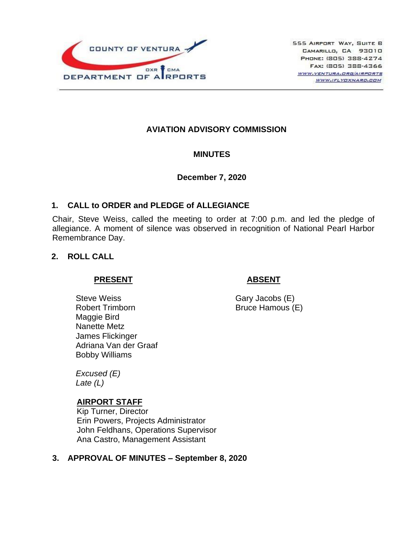

## **AVIATION ADVISORY COMMISSION**

#### **MINUTES**

#### **December 7, 2020**

#### **1. CALL to ORDER and PLEDGE of ALLEGIANCE**

Chair, Steve Weiss, called the meeting to order at 7:00 p.m. and led the pledge of allegiance. A moment of silence was observed in recognition of National Pearl Harbor Remembrance Day.

#### **2. ROLL CALL**

#### **PRESENT**

## **ABSENT**

Steve Weiss Robert Trimborn Maggie Bird Nanette Metz James Flickinger Adriana Van der Graaf Bobby Williams

Gary Jacobs (E) Bruce Hamous (E)

*Excused (E) Late (L)*

#### **AIRPORT STAFF**

Kip Turner, Director Erin Powers, Projects Administrator John Feldhans, Operations Supervisor Ana Castro, Management Assistant

## **3. APPROVAL OF MINUTES – September 8, 2020**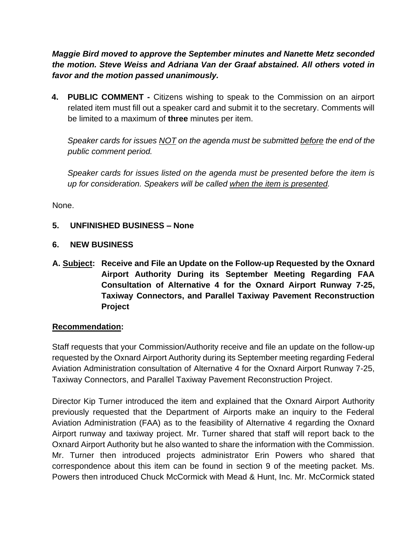*Maggie Bird moved to approve the September minutes and Nanette Metz seconded the motion. Steve Weiss and Adriana Van der Graaf abstained. All others voted in favor and the motion passed unanimously.*

**4. PUBLIC COMMENT -** Citizens wishing to speak to the Commission on an airport related item must fill out a speaker card and submit it to the secretary. Comments will be limited to a maximum of **three** minutes per item.

*Speaker cards for issues NOT on the agenda must be submitted before the end of the public comment period.* 

*Speaker cards for issues listed on the agenda must be presented before the item is up for consideration. Speakers will be called when the item is presented.*

None.

#### **5. UNFINISHED BUSINESS – None**

#### **6. NEW BUSINESS**

**A. Subject: Receive and File an Update on the Follow-up Requested by the Oxnard Airport Authority During its September Meeting Regarding FAA Consultation of Alternative 4 for the Oxnard Airport Runway 7-25, Taxiway Connectors, and Parallel Taxiway Pavement Reconstruction Project**

#### **Recommendation:**

Staff requests that your Commission/Authority receive and file an update on the follow-up requested by the Oxnard Airport Authority during its September meeting regarding Federal Aviation Administration consultation of Alternative 4 for the Oxnard Airport Runway 7-25, Taxiway Connectors, and Parallel Taxiway Pavement Reconstruction Project.

Director Kip Turner introduced the item and explained that the Oxnard Airport Authority previously requested that the Department of Airports make an inquiry to the Federal Aviation Administration (FAA) as to the feasibility of Alternative 4 regarding the Oxnard Airport runway and taxiway project. Mr. Turner shared that staff will report back to the Oxnard Airport Authority but he also wanted to share the information with the Commission. Mr. Turner then introduced projects administrator Erin Powers who shared that correspondence about this item can be found in section 9 of the meeting packet. Ms. Powers then introduced Chuck McCormick with Mead & Hunt, Inc. Mr. McCormick stated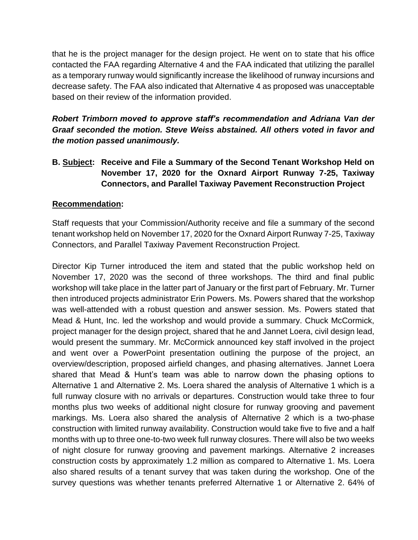that he is the project manager for the design project. He went on to state that his office contacted the FAA regarding Alternative 4 and the FAA indicated that utilizing the parallel as a temporary runway would significantly increase the likelihood of runway incursions and decrease safety. The FAA also indicated that Alternative 4 as proposed was unacceptable based on their review of the information provided.

*Robert Trimborn moved to approve staff's recommendation and Adriana Van der Graaf seconded the motion. Steve Weiss abstained. All others voted in favor and the motion passed unanimously.*

**B. Subject: Receive and File a Summary of the Second Tenant Workshop Held on November 17, 2020 for the Oxnard Airport Runway 7-25, Taxiway Connectors, and Parallel Taxiway Pavement Reconstruction Project**

## **Recommendation:**

Staff requests that your Commission/Authority receive and file a summary of the second tenant workshop held on November 17, 2020 for the Oxnard Airport Runway 7-25, Taxiway Connectors, and Parallel Taxiway Pavement Reconstruction Project.

Director Kip Turner introduced the item and stated that the public workshop held on November 17, 2020 was the second of three workshops. The third and final public workshop will take place in the latter part of January or the first part of February. Mr. Turner then introduced projects administrator Erin Powers. Ms. Powers shared that the workshop was well-attended with a robust question and answer session. Ms. Powers stated that Mead & Hunt, Inc. led the workshop and would provide a summary. Chuck McCormick, project manager for the design project, shared that he and Jannet Loera, civil design lead, would present the summary. Mr. McCormick announced key staff involved in the project and went over a PowerPoint presentation outlining the purpose of the project, an overview/description, proposed airfield changes, and phasing alternatives. Jannet Loera shared that Mead & Hunt's team was able to narrow down the phasing options to Alternative 1 and Alternative 2. Ms. Loera shared the analysis of Alternative 1 which is a full runway closure with no arrivals or departures. Construction would take three to four months plus two weeks of additional night closure for runway grooving and pavement markings. Ms. Loera also shared the analysis of Alternative 2 which is a two-phase construction with limited runway availability. Construction would take five to five and a half months with up to three one-to-two week full runway closures. There will also be two weeks of night closure for runway grooving and pavement markings. Alternative 2 increases construction costs by approximately 1.2 million as compared to Alternative 1. Ms. Loera also shared results of a tenant survey that was taken during the workshop. One of the survey questions was whether tenants preferred Alternative 1 or Alternative 2. 64% of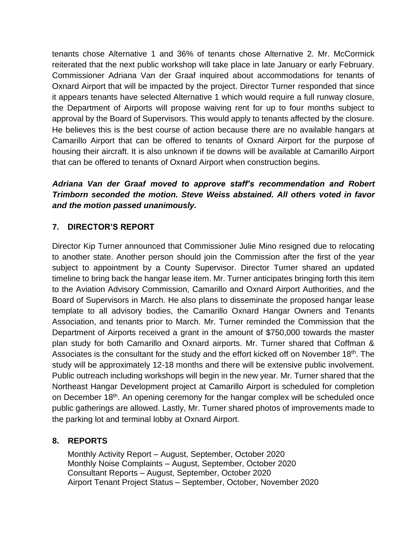tenants chose Alternative 1 and 36% of tenants chose Alternative 2. Mr. McCormick reiterated that the next public workshop will take place in late January or early February. Commissioner Adriana Van der Graaf inquired about accommodations for tenants of Oxnard Airport that will be impacted by the project. Director Turner responded that since it appears tenants have selected Alternative 1 which would require a full runway closure, the Department of Airports will propose waiving rent for up to four months subject to approval by the Board of Supervisors. This would apply to tenants affected by the closure. He believes this is the best course of action because there are no available hangars at Camarillo Airport that can be offered to tenants of Oxnard Airport for the purpose of housing their aircraft. It is also unknown if tie downs will be available at Camarillo Airport that can be offered to tenants of Oxnard Airport when construction begins.

# *Adriana Van der Graaf moved to approve staff's recommendation and Robert Trimborn seconded the motion. Steve Weiss abstained. All others voted in favor and the motion passed unanimously.*

# **7. DIRECTOR'S REPORT**

Director Kip Turner announced that Commissioner Julie Mino resigned due to relocating to another state. Another person should join the Commission after the first of the year subject to appointment by a County Supervisor. Director Turner shared an updated timeline to bring back the hangar lease item. Mr. Turner anticipates bringing forth this item to the Aviation Advisory Commission, Camarillo and Oxnard Airport Authorities, and the Board of Supervisors in March. He also plans to disseminate the proposed hangar lease template to all advisory bodies, the Camarillo Oxnard Hangar Owners and Tenants Association, and tenants prior to March. Mr. Turner reminded the Commission that the Department of Airports received a grant in the amount of \$750,000 towards the master plan study for both Camarillo and Oxnard airports. Mr. Turner shared that Coffman & Associates is the consultant for the study and the effort kicked off on November 18<sup>th</sup>. The study will be approximately 12-18 months and there will be extensive public involvement. Public outreach including workshops will begin in the new year. Mr. Turner shared that the Northeast Hangar Development project at Camarillo Airport is scheduled for completion on December 18<sup>th</sup>. An opening ceremony for the hangar complex will be scheduled once public gatherings are allowed. Lastly, Mr. Turner shared photos of improvements made to the parking lot and terminal lobby at Oxnard Airport.

## **8. REPORTS**

Monthly Activity Report – August, September, October 2020 Monthly Noise Complaints – August, September, October 2020 Consultant Reports – August, September, October 2020 Airport Tenant Project Status – September, October, November 2020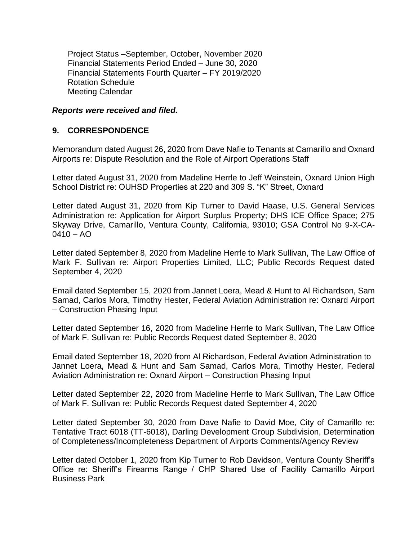Project Status –September, October, November 2020 Financial Statements Period Ended – June 30, 2020 Financial Statements Fourth Quarter – FY 2019/2020 Rotation Schedule Meeting Calendar

#### *Reports were received and filed.*

#### **9. CORRESPONDENCE**

Memorandum dated August 26, 2020 from Dave Nafie to Tenants at Camarillo and Oxnard Airports re: Dispute Resolution and the Role of Airport Operations Staff

Letter dated August 31, 2020 from Madeline Herrle to Jeff Weinstein, Oxnard Union High School District re: OUHSD Properties at 220 and 309 S. "K" Street, Oxnard

Letter dated August 31, 2020 from Kip Turner to David Haase, U.S. General Services Administration re: Application for Airport Surplus Property; DHS ICE Office Space; 275 Skyway Drive, Camarillo, Ventura County, California, 93010; GSA Control No 9-X-CA- $0410 - A<sub>O</sub>$ 

Letter dated September 8, 2020 from Madeline Herrle to Mark Sullivan, The Law Office of Mark F. Sullivan re: Airport Properties Limited, LLC; Public Records Request dated September 4, 2020

Email dated September 15, 2020 from Jannet Loera, Mead & Hunt to Al Richardson, Sam Samad, Carlos Mora, Timothy Hester, Federal Aviation Administration re: Oxnard Airport – Construction Phasing Input

Letter dated September 16, 2020 from Madeline Herrle to Mark Sullivan, The Law Office of Mark F. Sullivan re: Public Records Request dated September 8, 2020

Email dated September 18, 2020 from Al Richardson, Federal Aviation Administration to Jannet Loera, Mead & Hunt and Sam Samad, Carlos Mora, Timothy Hester, Federal Aviation Administration re: Oxnard Airport – Construction Phasing Input

Letter dated September 22, 2020 from Madeline Herrle to Mark Sullivan, The Law Office of Mark F. Sullivan re: Public Records Request dated September 4, 2020

Letter dated September 30, 2020 from Dave Nafie to David Moe, City of Camarillo re: Tentative Tract 6018 (TT-6018), Darling Development Group Subdivision, Determination of Completeness/Incompleteness Department of Airports Comments/Agency Review

Letter dated October 1, 2020 from Kip Turner to Rob Davidson, Ventura County Sheriff's Office re: Sheriff's Firearms Range / CHP Shared Use of Facility Camarillo Airport Business Park